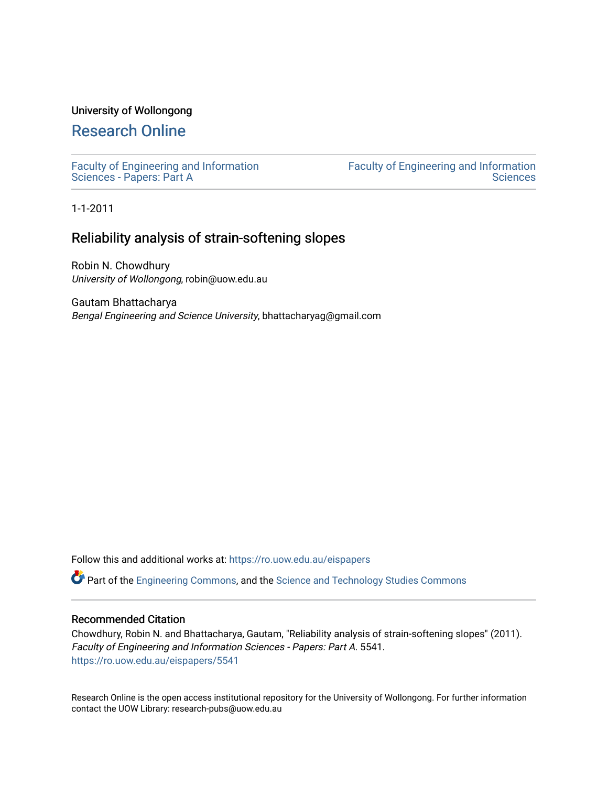## University of Wollongong

# [Research Online](https://ro.uow.edu.au/)

[Faculty of Engineering and Information](https://ro.uow.edu.au/eispapers)  [Sciences - Papers: Part A](https://ro.uow.edu.au/eispapers) 

[Faculty of Engineering and Information](https://ro.uow.edu.au/eis)  **Sciences** 

1-1-2011

## Reliability analysis of strain-softening slopes

Robin N. Chowdhury University of Wollongong, robin@uow.edu.au

Gautam Bhattacharya Bengal Engineering and Science University, bhattacharyag@gmail.com

Follow this and additional works at: [https://ro.uow.edu.au/eispapers](https://ro.uow.edu.au/eispapers?utm_source=ro.uow.edu.au%2Feispapers%2F5541&utm_medium=PDF&utm_campaign=PDFCoverPages)

Part of the [Engineering Commons](http://network.bepress.com/hgg/discipline/217?utm_source=ro.uow.edu.au%2Feispapers%2F5541&utm_medium=PDF&utm_campaign=PDFCoverPages), and the [Science and Technology Studies Commons](http://network.bepress.com/hgg/discipline/435?utm_source=ro.uow.edu.au%2Feispapers%2F5541&utm_medium=PDF&utm_campaign=PDFCoverPages)

#### Recommended Citation

Chowdhury, Robin N. and Bhattacharya, Gautam, "Reliability analysis of strain-softening slopes" (2011). Faculty of Engineering and Information Sciences - Papers: Part A. 5541. [https://ro.uow.edu.au/eispapers/5541](https://ro.uow.edu.au/eispapers/5541?utm_source=ro.uow.edu.au%2Feispapers%2F5541&utm_medium=PDF&utm_campaign=PDFCoverPages) 

Research Online is the open access institutional repository for the University of Wollongong. For further information contact the UOW Library: research-pubs@uow.edu.au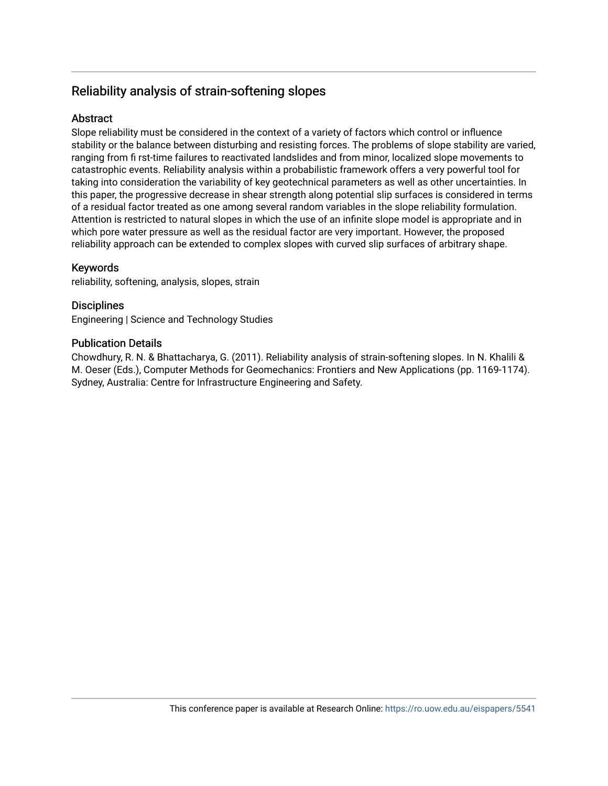# Reliability analysis of strain-softening slopes

## Abstract

Slope reliability must be considered in the context of a variety of factors which control or influence stability or the balance between disturbing and resisting forces. The problems of slope stability are varied, ranging from fi rst-time failures to reactivated landslides and from minor, localized slope movements to catastrophic events. Reliability analysis within a probabilistic framework offers a very powerful tool for taking into consideration the variability of key geotechnical parameters as well as other uncertainties. In this paper, the progressive decrease in shear strength along potential slip surfaces is considered in terms of a residual factor treated as one among several random variables in the slope reliability formulation. Attention is restricted to natural slopes in which the use of an infinite slope model is appropriate and in which pore water pressure as well as the residual factor are very important. However, the proposed reliability approach can be extended to complex slopes with curved slip surfaces of arbitrary shape.

## Keywords

reliability, softening, analysis, slopes, strain

## **Disciplines**

Engineering | Science and Technology Studies

## Publication Details

Chowdhury, R. N. & Bhattacharya, G. (2011). Reliability analysis of strain-softening slopes. In N. Khalili & M. Oeser (Eds.), Computer Methods for Geomechanics: Frontiers and New Applications (pp. 1169-1174). Sydney, Australia: Centre for Infrastructure Engineering and Safety.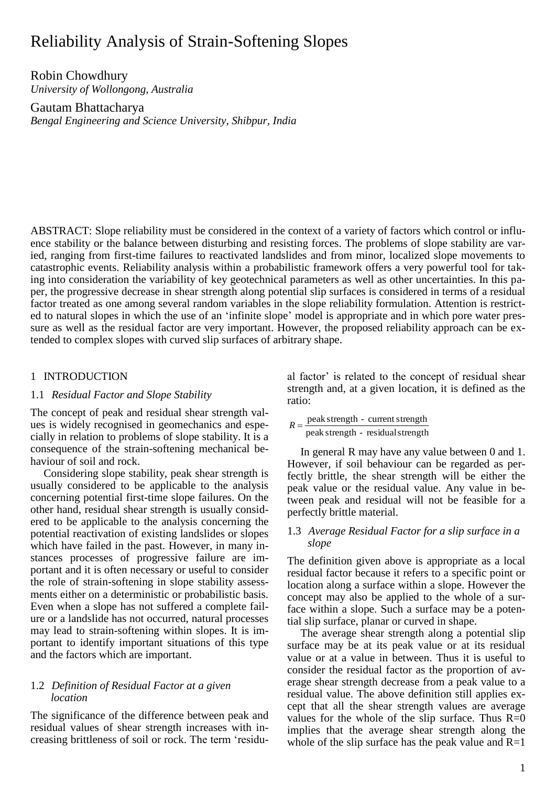# Reliability Analysis of Strain-Softening Slopes

Robin Chowdhury *University of Wollongong, Australia*

Gautam Bhattacharya *Bengal Engineering and Science University, Shibpur, India*

ABSTRACT: Slope reliability must be considered in the context of a variety of factors which control or influence stability or the balance between disturbing and resisting forces. The problems of slope stability are varied, ranging from first-time failures to reactivated landslides and from minor, localized slope movements to catastrophic events. Reliability analysis within a probabilistic framework offers a very powerful tool for taking into consideration the variability of key geotechnical parameters as well as other uncertainties. In this paper, the progressive decrease in shear strength along potential slip surfaces is considered in terms of a residual factor treated as one among several random variables in the slope reliability formulation. Attention is restricted to natural slopes in which the use of an 'infinite slope' model is appropriate and in which pore water pressure as well as the residual factor are very important. However, the proposed reliability approach can be extended to complex slopes with curved slip surfaces of arbitrary shape.

## 1 INTRODUCTION

## 1.1 *Residual Factor and Slope Stability*

The concept of peak and residual shear strength values is widely recognised in geomechanics and especially in relation to problems of slope stability. It is a consequence of the strain-softening mechanical behaviour of soil and rock.

Considering slope stability, peak shear strength is usually considered to be applicable to the analysis concerning potential first-time slope failures. On the other hand, residual shear strength is usually considered to be applicable to the analysis concerning the potential reactivation of existing landslides or slopes which have failed in the past. However, in many instances processes of progressive failure are important and it is often necessary or useful to consider the role of strain-softening in slope stability assessments either on a deterministic or probabilistic basis. Even when a slope has not suffered a complete failure or a landslide has not occurred, natural processes may lead to strain-softening within slopes. It is important to identify important situations of this type and the factors which are important.

#### 1.2 *Definition of Residual Factor at a given location*

The significance of the difference between peak and residual values of shear strength increases with increasing brittleness of soil or rock. The term 'residual factor' is related to the concept of residual shear strength and, at a given location, it is defined as the ratio:

peak strength - residualstrength  $R = \frac{\text{peak strength} - \text{current strength}}{1 - \frac{1}{R}}$ 

In general R may have any value between 0 and 1. However, if soil behaviour can be regarded as perfectly brittle, the shear strength will be either the peak value or the residual value. Any value in between peak and residual will not be feasible for a perfectly brittle material.

## 1.3 *Average Residual Factor for a slip surface in a slope*

The definition given above is appropriate as a local residual factor because it refers to a specific point or location along a surface within a slope. However the concept may also be applied to the whole of a surface within a slope. Such a surface may be a potential slip surface, planar or curved in shape.

The average shear strength along a potential slip surface may be at its peak value or at its residual value or at a value in between. Thus it is useful to consider the residual factor as the proportion of average shear strength decrease from a peak value to a residual value. The above definition still applies except that all the shear strength values are average values for the whole of the slip surface. Thus  $R=0$ implies that the average shear strength along the whole of the slip surface has the peak value and  $R=1$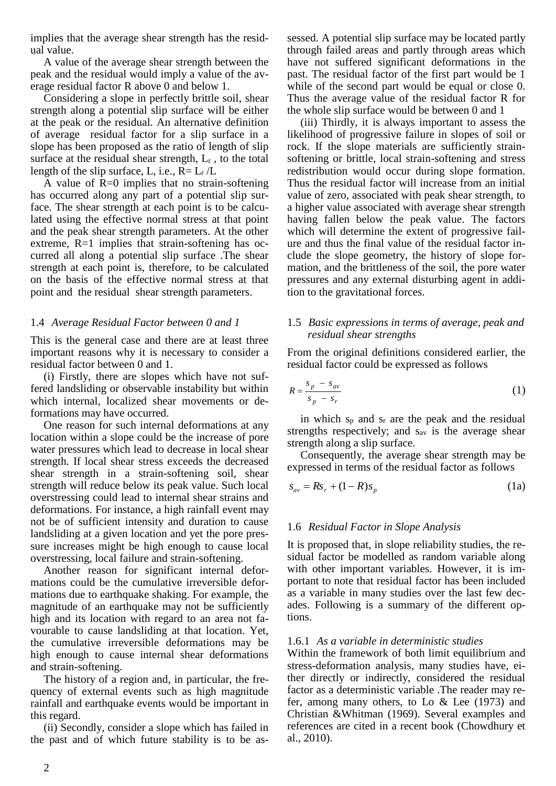implies that the average shear strength has the residual value.

A value of the average shear strength between the peak and the residual would imply a value of the average residual factor R above 0 and below 1.

Considering a slope in perfectly brittle soil, shear strength along a potential slip surface will be either at the peak or the residual. An alternative definition of average residual factor for a slip surface in a slope has been proposed as the ratio of length of slip surface at the residual shear strength,  $L_r$ , to the total length of the slip surface, L, i.e.,  $R = L_r / L$ 

A value of R=0 implies that no strain-softening has occurred along any part of a potential slip surface. The shear strength at each point is to be calculated using the effective normal stress at that point and the peak shear strength parameters. At the other extreme, R=1 implies that strain-softening has occurred all along a potential slip surface .The shear strength at each point is, therefore, to be calculated on the basis of the effective normal stress at that point and the residual shear strength parameters.

## 1.4 *Average Residual Factor between 0 and 1*

This is the general case and there are at least three important reasons why it is necessary to consider a residual factor between 0 and 1.

(i) Firstly, there are slopes which have not suffered landsliding or observable instability but within which internal, localized shear movements or deformations may have occurred.

One reason for such internal deformations at any location within a slope could be the increase of pore water pressures which lead to decrease in local shear strength. If local shear stress exceeds the decreased shear strength in a strain-softening soil, shear strength will reduce below its peak value. Such local overstressing could lead to internal shear strains and deformations. For instance, a high rainfall event may not be of sufficient intensity and duration to cause landsliding at a given location and yet the pore pressure increases might be high enough to cause local overstressing, local failure and strain-softening.

Another reason for significant internal deformations could be the cumulative irreversible deformations due to earthquake shaking. For example, the magnitude of an earthquake may not be sufficiently high and its location with regard to an area not favourable to cause landsliding at that location. Yet, the cumulative irreversible deformations may be high enough to cause internal shear deformations and strain-softening.

The history of a region and, in particular, the frequency of external events such as high magnitude rainfall and earthquake events would be important in this regard.

(ii) Secondly, consider a slope which has failed in the past and of which future stability is to be assessed. A potential slip surface may be located partly through failed areas and partly through areas which have not suffered significant deformations in the past. The residual factor of the first part would be 1 while of the second part would be equal or close 0. Thus the average value of the residual factor R for the whole slip surface would be between 0 and 1

(iii) Thirdly, it is always important to assess the likelihood of progressive failure in slopes of soil or rock. If the slope materials are sufficiently strainsoftening or brittle, local strain-softening and stress redistribution would occur during slope formation. Thus the residual factor will increase from an initial value of zero, associated with peak shear strength, to a higher value associated with average shear strength having fallen below the peak value. The factors which will determine the extent of progressive failure and thus the final value of the residual factor include the slope geometry, the history of slope formation, and the brittleness of the soil, the pore water pressures and any external disturbing agent in addition to the gravitational forces.

## 1.5 *Basic expressions in terms of average, peak and residual shear strengths*

From the original definitions considered earlier, the residual factor could be expressed as follows

$$
R = \frac{s_p - s_{av}}{s_p - s_r} \tag{1}
$$

in which  $s_p$  and  $s_r$  are the peak and the residual strengths respectively; and  $s_{av}$  is the average shear strength along a slip surface.

Consequently, the average shear strength may be expressed in terms of the residual factor as follows

$$
s_{av} = Rs_r + (1 - R)s_p
$$
 (1a)

## 1.6 *Residual Factor in Slope Analysis*

It is proposed that, in slope reliability studies, the residual factor be modelled as random variable along with other important variables. However, it is important to note that residual factor has been included as a variable in many studies over the last few decades. Following is a summary of the different options.

#### 1.6.1 *As a variable in deterministic studies*

Within the framework of both limit equilibrium and stress-deformation analysis, many studies have, either directly or indirectly, considered the residual factor as a deterministic variable .The reader may refer, among many others, to Lo & Lee (1973) and Christian &Whitman (1969). Several examples and references are cited in a recent book (Chowdhury et al., 2010).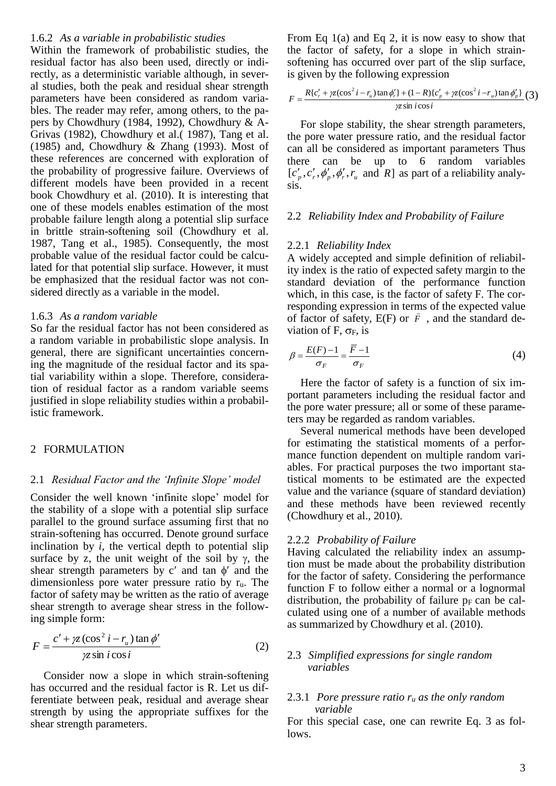#### 1.6.2 *As a variable in probabilistic studies*

Within the framework of probabilistic studies, the residual factor has also been used, directly or indirectly, as a deterministic variable although, in several studies, both the peak and residual shear strength parameters have been considered as random variables. The reader may refer, among others, to the papers by Chowdhury (1984, 1992), Chowdhury & A-Grivas (1982), Chowdhury et al.( 1987), Tang et al. (1985) and, Chowdhury & Zhang (1993). Most of these references are concerned with exploration of the probability of progressive failure. Overviews of different models have been provided in a recent book Chowdhury et al. (2010). It is interesting that one of these models enables estimation of the most probable failure length along a potential slip surface in brittle strain-softening soil (Chowdhury et al. 1987, Tang et al., 1985). Consequently, the most probable value of the residual factor could be calculated for that potential slip surface. However, it must be emphasized that the residual factor was not considered directly as a variable in the model.

#### 1.6.3 *As a random variable*

So far the residual factor has not been considered as a random variable in probabilistic slope analysis. In general, there are significant uncertainties concerning the magnitude of the residual factor and its spatial variability within a slope. Therefore, consideration of residual factor as a random variable seems justified in slope reliability studies within a probabilistic framework.

#### 2 FORMULATION

#### 2.1 *Residual Factor and the 'Infinite Slope' model*

Consider the well known 'infinite slope' model for the stability of a slope with a potential slip surface parallel to the ground surface assuming first that no strain-softening has occurred. Denote ground surface inclination by  $i$ , the vertical depth to potential slip surface by z, the unit weight of the soil by  $\gamma$ , the shear strength parameters by  $c'$  and tan  $\phi'$  and the dimensionless pore water pressure ratio by ru. The factor of safety may be written as the ratio of average shear strength to average shear stress in the following simple form:

$$
F = \frac{c' + \gamma z (\cos^2 i - r_u) \tan \phi'}{\gamma z \sin i \cos i}
$$
 (2)

Consider now a slope in which strain-softening has occurred and the residual factor is R. Let us differentiate between peak, residual and average shear strength by using the appropriate suffixes for the shear strength parameters.

From Eq 1(a) and Eq 2, it is now easy to show that the factor of safety, for a slope in which strainsoftening has occurred over part of the slip surface, is given by the following expression

$$
F = \frac{R\{c'_r + \gamma z(\cos^2 i - r_u)\tan\phi'_r\} + (1 - R)\{c'_p + \gamma z(\cos^2 i - r_u)\tan\phi'_p\}}{\gamma z \sin i \cos i} (3)
$$

For slope stability, the shear strength parameters, the pore water pressure ratio, and the residual factor can all be considered as important parameters Thus there can be up to 6 random variables  $[c'_p, c'_r, \phi'_p, \phi'_r, r_u \text{ and } R]$  as part of a reliability analysis.

#### 2.2 *Reliability Index and Probability of Failure*

#### 2.2.1 *Reliability Index*

A widely accepted and simple definition of reliability index is the ratio of expected safety margin to the standard deviation of the performance function which, in this case, is the factor of safety F. The corresponding expression in terms of the expected value of factor of safety, E(F) or *F*  $\bar{F}$ , and the standard deviation of F,  $\sigma_F$ , is

$$
\beta = \frac{E(F) - 1}{\sigma_F} = \frac{\overline{F} - 1}{\sigma_F} \tag{4}
$$

Here the factor of safety is a function of six important parameters including the residual factor and the pore water pressure; all or some of these parameters may be regarded as random variables.

Several numerical methods have been developed for estimating the statistical moments of a performance function dependent on multiple random variables. For practical purposes the two important statistical moments to be estimated are the expected value and the variance (square of standard deviation) and these methods have been reviewed recently (Chowdhury et al., 2010).

#### 2.2.2 *Probability of Failure*

Having calculated the reliability index an assumption must be made about the probability distribution for the factor of safety. Considering the performance function F to follow either a normal or a lognormal distribution, the probability of failure  $p_F$  can be calculated using one of a number of available methods as summarized by Chowdhury et al. (2010).

### 2.3 *Simplified expressions for single random variables*

#### 2.3.1 *Pore pressure ratio*  $r_u$  *as the only random variable*

For this special case, one can rewrite Eq. 3 as follows.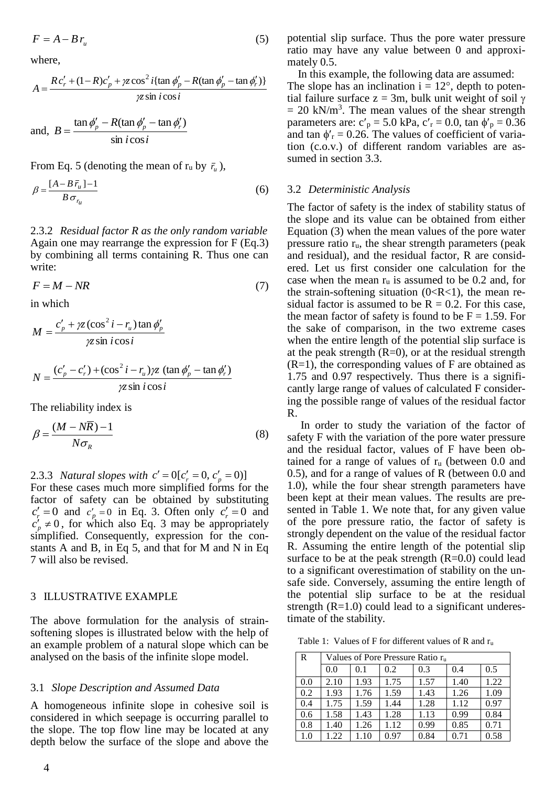$$
F = A - B r_u \tag{5}
$$

where,

$$
A = \frac{R c'_r + (1 - R)c'_p + \gamma z \cos^2 i \{\tan \phi'_p - R(\tan \phi'_p - \tan \phi'_r)\}}{\gamma z \sin i \cos i}
$$

and, 
$$
B = \frac{\tan \phi_p' - R(\tan \phi_p' - \tan \phi_r')}{\sin i \cos i}
$$

From Eq. 5 (denoting the mean of  $r_u$  by  $\bar{r}_u$ ),

$$
\beta = \frac{[A - B\,\bar{r}_u] - 1}{B\,\sigma_{r_u}}\tag{6}
$$

2.3.2 *Residual factor R as the only random variable* Again one may rearrange the expression for F (Eq.3) by combining all terms containing R. Thus one can write:

$$
F = M - NR \tag{7}
$$

in which

$$
M = \frac{c'_p + \gamma z (\cos^2 i - r_u) \tan \phi'_p}{\gamma z \sin i \cos i}
$$

$$
N = \frac{(c'_p - c'_r) + (\cos^2 i - r_u)\gamma z (\tan \phi'_p - \tan \phi'_r)}{\gamma z \sin i \cos i}
$$

The reliability index is

$$
\beta = \frac{(M - N\overline{R}) - 1}{N\sigma_R} \tag{8}
$$

2.3.3 *Natural slopes with*  $c' = 0[c'_r = 0, c'_p = 0)]$ 

For these cases much more simplified forms for the factor of safety can be obtained by substituting  $c'_r = 0$  and  $c'_p = 0$  in Eq. 3. Often only  $c'_r = 0$  and  $c'_{p} \neq 0$ , for which also Eq. 3 may be appropriately simplified. Consequently, expression for the constants A and B, in Eq 5, and that for M and N in Eq 7 will also be revised.

#### 3 ILLUSTRATIVE EXAMPLE

The above formulation for the analysis of strainsoftening slopes is illustrated below with the help of an example problem of a natural slope which can be analysed on the basis of the infinite slope model.

#### 3.1 *Slope Description and Assumed Data*

A homogeneous infinite slope in cohesive soil is considered in which seepage is occurring parallel to the slope. The top flow line may be located at any depth below the surface of the slope and above the potential slip surface. Thus the pore water pressure ratio may have any value between 0 and approximately 0.5.

In this example, the following data are assumed: The slope has an inclination  $i = 12^{\circ}$ , depth to potential failure surface  $z = 3m$ , bulk unit weight of soil  $\gamma$  $= 20$  kN/m<sup>3</sup>. The mean values of the shear strength parameters are:  $c'_p = 5.0$  kPa,  $c'_r = 0.0$ , tan  $\phi'_p = 0.36$ and tan  $\phi'_r = 0.26$ . The values of coefficient of variation (c.o.v.) of different random variables are assumed in section 3.3.

#### 3.2 *Deterministic Analysis*

The factor of safety is the index of stability status of the slope and its value can be obtained from either Equation (3) when the mean values of the pore water pressure ratio ru, the shear strength parameters (peak and residual), and the residual factor, R are considered. Let us first consider one calculation for the case when the mean  $r_u$  is assumed to be 0.2 and, for the strain-softening situation  $(0 < R < 1)$ , the mean residual factor is assumed to be  $R = 0.2$ . For this case, the mean factor of safety is found to be  $F = 1.59$ . For the sake of comparison, in the two extreme cases when the entire length of the potential slip surface is at the peak strength  $(R=0)$ , or at the residual strength  $(R=1)$ , the corresponding values of F are obtained as 1.75 and 0.97 respectively. Thus there is a significantly large range of values of calculated F considering the possible range of values of the residual factor R.

In order to study the variation of the factor of safety F with the variation of the pore water pressure and the residual factor, values of F have been obtained for a range of values of  $r_u$  (between 0.0 and 0.5), and for a range of values of R (between 0.0 and 1.0), while the four shear strength parameters have been kept at their mean values. The results are presented in Table 1. We note that, for any given value of the pore pressure ratio, the factor of safety is strongly dependent on the value of the residual factor R. Assuming the entire length of the potential slip surface to be at the peak strength  $(R=0.0)$  could lead to a significant overestimation of stability on the unsafe side. Conversely, assuming the entire length of the potential slip surface to be at the residual strength  $(R=1.0)$  could lead to a significant underestimate of the stability.

Table 1: Values of F for different values of R and r<sup>u</sup>

| R   | Values of Pore Pressure Ratio $r_{\text{u}}$ |      |      |      |      |      |
|-----|----------------------------------------------|------|------|------|------|------|
|     | 0.0                                          | 0.1  | 0.2  | 0.3  | 0.4  | 0.5  |
| 0.0 | 2.10                                         | 1.93 | 1.75 | 1.57 | 1.40 | 1.22 |
| 0.2 | 1.93                                         | 1.76 | 1.59 | 1.43 | 1.26 | 1.09 |
| 0.4 | 1.75                                         | 1.59 | 1.44 | 1.28 | 1.12 | 0.97 |
| 0.6 | 1.58                                         | 1.43 | 1.28 | 1.13 | 0.99 | 0.84 |
| 0.8 | 1.40                                         | 1.26 | 1.12 | 0.99 | 0.85 | 0.71 |
| 1.0 | 1.22                                         | 1.10 | 0.97 | 0.84 | 0.71 | 0.58 |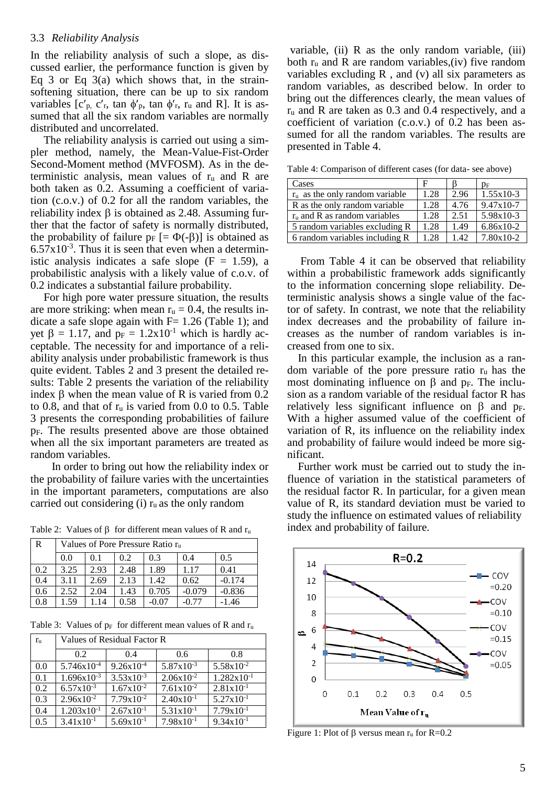#### 3.3 *Reliability Analysis*

In the reliability analysis of such a slope, as discussed earlier, the performance function is given by Eq 3 or Eq  $3(a)$  which shows that, in the strainsoftening situation, there can be up to six random variables  $[c_p, c_r, \tan \phi_p, \tan \phi_r, r_u \text{ and } R]$ . It is assumed that all the six random variables are normally distributed and uncorrelated.

The reliability analysis is carried out using a simpler method, namely, the Mean-Value-Fist-Order Second-Moment method (MVFOSM). As in the deterministic analysis, mean values of  $r_u$  and R are both taken as 0.2. Assuming a coefficient of variation (c.o.v.) of 0.2 for all the random variables, the reliability index  $\beta$  is obtained as 2.48. Assuming further that the factor of safety is normally distributed, the probability of failure  $p_F$  [=  $\Phi(-\beta)$ ] is obtained as  $6.57 \times 10^{-3}$ . Thus it is seen that even when a deterministic analysis indicates a safe slope  $(F = 1.59)$ , a probabilistic analysis with a likely value of c.o.v. of 0.2 indicates a substantial failure probability.

For high pore water pressure situation, the results are more striking: when mean  $r_u = 0.4$ , the results indicate a safe slope again with  $F= 1.26$  (Table 1); and yet  $\beta = 1.17$ , and  $p_F = 1.2x10^{-1}$  which is hardly acceptable. The necessity for and importance of a reliability analysis under probabilistic framework is thus quite evident. Tables 2 and 3 present the detailed results: Table 2 presents the variation of the reliability index  $\beta$  when the mean value of R is varied from 0.2 to 0.8, and that of  $r_u$  is varied from 0.0 to 0.5. Table 3 presents the corresponding probabilities of failure pF. The results presented above are those obtained when all the six important parameters are treated as random variables.

In order to bring out how the reliability index or the probability of failure varies with the uncertainties in the important parameters, computations are also carried out considering (i)  $r_u$  as the only random

Table 2: Values of  $\beta$  for different mean values of R and  $r_u$ 

| R   | Values of Pore Pressure Ratio $r_{\rm u}$ |      |      |       |          |          |
|-----|-------------------------------------------|------|------|-------|----------|----------|
|     | 0.0                                       | 0.1  | 0.2  | 0.3   | 0.4      | 0.5      |
| 0.2 | 3.25                                      | 2.93 | 2.48 | 1.89  | 1.17     | 0.41     |
| 0.4 | 3.11                                      | 2.69 | 2.13 | 1.42  | 0.62     | $-0.174$ |
| 0.6 | 2.52                                      | 2.04 | 1.43 | 0.705 | $-0.079$ | $-0.836$ |
| 0.8 | 1.59                                      | . 14 | 0.58 | -0.07 |          | $-1.46$  |

Table 3: Values of  $p_F$  for different mean values of R and  $r_u$ 

| $r_{\rm u}$ | Values of Residual Factor R |                |                |                        |  |  |
|-------------|-----------------------------|----------------|----------------|------------------------|--|--|
|             | 0.2                         | 0.4            | 0.6            | 0.8                    |  |  |
| 0.0         | $5.746x10^{-4}$             | $9.26x10^{-4}$ | $5.87x10^{-3}$ | $5.58x10^{-2}$         |  |  |
| 0.1         | $1.696x10^{-3}$             | $3.53x10^{-3}$ | $2.06x10^{-2}$ | $1.282 \times 10^{-1}$ |  |  |
| 0.2         | $6.57x10^{-3}$              | $1.67x10^{-2}$ | $7.61x10^{-2}$ | $2.81x10^{-1}$         |  |  |
| 0.3         | $2.96x10^{-2}$              | $7.79x10^{-2}$ | $2.40x10^{-1}$ | $5.27 \times 10^{-1}$  |  |  |
| 0.4         | $1.203 \times 10^{-1}$      | $2.67x10^{-1}$ | $5.31x10^{-1}$ | $7.79x10^{-1}$         |  |  |
| 0.5         | $3.41x10^{-1}$              | $5.69x10^{-1}$ | $7.98x10^{-1}$ | $9.34x10^{-1}$         |  |  |

variable,  $(ii)$  R as the only random variable,  $(iii)$ both  $r_u$  and R are random variables, (iv) five random variables excluding  $R$ , and (v) all six parameters as random variables, as described below. In order to bring out the differences clearly, the mean values of r<sup>u</sup> and R are taken as 0.3 and 0.4 respectively, and a coefficient of variation (c.o.v.) of 0.2 has been assumed for all the random variables. The results are presented in Table 4.

Table 4: Comparison of different cases (for data- see above)

| Cases                             |      |      | DF          |
|-----------------------------------|------|------|-------------|
| $r_u$ as the only random variable | 1.28 | 2.96 | $1.55x10-3$ |
| R as the only random variable     | 1.28 | 4.76 | $9.47x10-7$ |
| $ru$ and R as random variables    | 1.28 | 2.51 | 5.98x10-3   |
| 5 random variables excluding R    | 1.28 | 1.49 | $6.86x10-2$ |
| 6 random variables including R    | 1.28 | 1.42 | 7.80x10-2   |

From Table 4 it can be observed that reliability within a probabilistic framework adds significantly to the information concerning slope reliability. Deterministic analysis shows a single value of the factor of safety. In contrast, we note that the reliability index decreases and the probability of failure increases as the number of random variables is increased from one to six.

In this particular example, the inclusion as a random variable of the pore pressure ratio ru has the most dominating influence on  $\beta$  and  $p_F$ . The inclusion as a random variable of the residual factor R has relatively less significant influence on  $\beta$  and p<sub>F</sub>. With a higher assumed value of the coefficient of variation of R, its influence on the reliability index and probability of failure would indeed be more significant.

Further work must be carried out to study the influence of variation in the statistical parameters of the residual factor R. In particular, for a given mean value of R, its standard deviation must be varied to study the influence on estimated values of reliability index and probability of failure.



Figure 1: Plot of  $\beta$  versus mean  $r_u$  for R=0.2